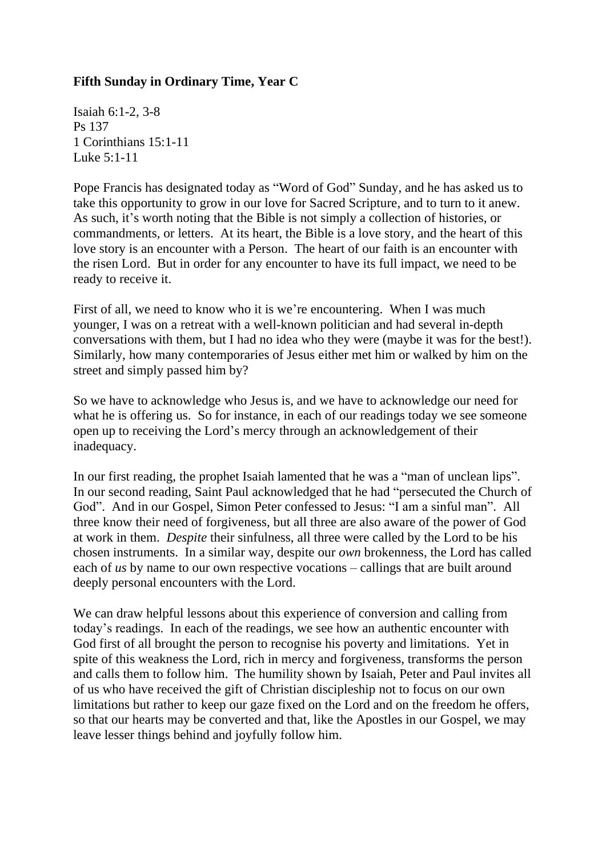## **Fifth Sunday in Ordinary Time, Year C**

Isaiah 6:1-2, 3-8 Ps 137 1 Corinthians 15:1-11 Luke 5:1-11

Pope Francis has designated today as "Word of God" Sunday, and he has asked us to take this opportunity to grow in our love for Sacred Scripture, and to turn to it anew. As such, it's worth noting that the Bible is not simply a collection of histories, or commandments, or letters. At its heart, the Bible is a love story, and the heart of this love story is an encounter with a Person. The heart of our faith is an encounter with the risen Lord. But in order for any encounter to have its full impact, we need to be ready to receive it.

First of all, we need to know who it is we're encountering. When I was much younger, I was on a retreat with a well-known politician and had several in-depth conversations with them, but I had no idea who they were (maybe it was for the best!). Similarly, how many contemporaries of Jesus either met him or walked by him on the street and simply passed him by?

So we have to acknowledge who Jesus is, and we have to acknowledge our need for what he is offering us. So for instance, in each of our readings today we see someone open up to receiving the Lord's mercy through an acknowledgement of their inadequacy.

In our first reading, the prophet Isaiah lamented that he was a "man of unclean lips". In our second reading, Saint Paul acknowledged that he had "persecuted the Church of God". And in our Gospel, Simon Peter confessed to Jesus: "I am a sinful man". All three know their need of forgiveness, but all three are also aware of the power of God at work in them. *Despite* their sinfulness, all three were called by the Lord to be his chosen instruments. In a similar way, despite our *own* brokenness, the Lord has called each of *us* by name to our own respective vocations – callings that are built around deeply personal encounters with the Lord.

We can draw helpful lessons about this experience of conversion and calling from today's readings. In each of the readings, we see how an authentic encounter with God first of all brought the person to recognise his poverty and limitations. Yet in spite of this weakness the Lord, rich in mercy and forgiveness, transforms the person and calls them to follow him. The humility shown by Isaiah, Peter and Paul invites all of us who have received the gift of Christian discipleship not to focus on our own limitations but rather to keep our gaze fixed on the Lord and on the freedom he offers, so that our hearts may be converted and that, like the Apostles in our Gospel, we may leave lesser things behind and joyfully follow him.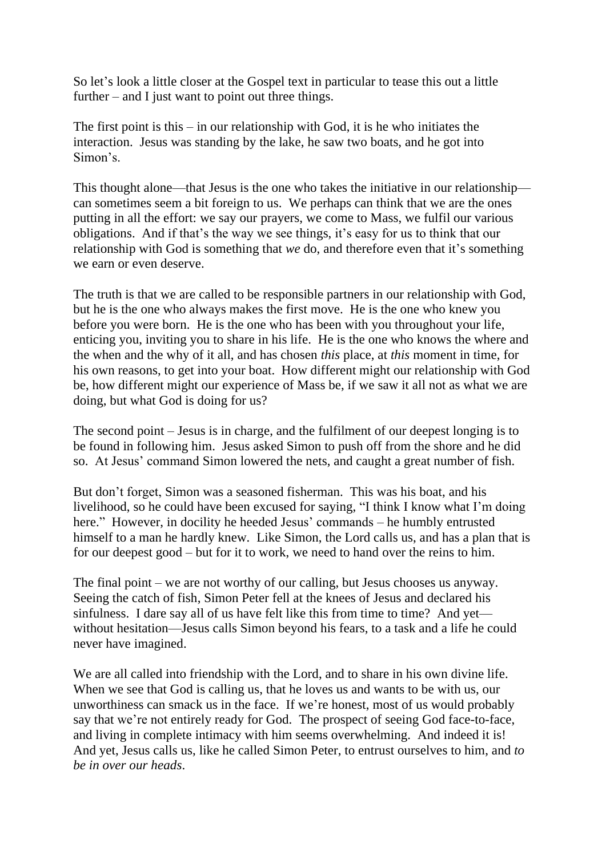So let's look a little closer at the Gospel text in particular to tease this out a little further – and I just want to point out three things.

The first point is this  $-$  in our relationship with God, it is he who initiates the interaction. Jesus was standing by the lake, he saw two boats, and he got into Simon's.

This thought alone—that Jesus is the one who takes the initiative in our relationship can sometimes seem a bit foreign to us. We perhaps can think that we are the ones putting in all the effort: we say our prayers, we come to Mass, we fulfil our various obligations. And if that's the way we see things, it's easy for us to think that our relationship with God is something that *we* do, and therefore even that it's something we earn or even deserve.

The truth is that we are called to be responsible partners in our relationship with God, but he is the one who always makes the first move. He is the one who knew you before you were born. He is the one who has been with you throughout your life, enticing you, inviting you to share in his life. He is the one who knows the where and the when and the why of it all, and has chosen *this* place, at *this* moment in time, for his own reasons, to get into your boat. How different might our relationship with God be, how different might our experience of Mass be, if we saw it all not as what we are doing, but what God is doing for us?

The second point – Jesus is in charge, and the fulfilment of our deepest longing is to be found in following him. Jesus asked Simon to push off from the shore and he did so. At Jesus' command Simon lowered the nets, and caught a great number of fish.

But don't forget, Simon was a seasoned fisherman. This was his boat, and his livelihood, so he could have been excused for saying, "I think I know what I'm doing here." However, in docility he heeded Jesus' commands – he humbly entrusted himself to a man he hardly knew. Like Simon, the Lord calls us, and has a plan that is for our deepest good – but for it to work, we need to hand over the reins to him.

The final point – we are not worthy of our calling, but Jesus chooses us anyway. Seeing the catch of fish, Simon Peter fell at the knees of Jesus and declared his sinfulness. I dare say all of us have felt like this from time to time? And yet without hesitation—Jesus calls Simon beyond his fears, to a task and a life he could never have imagined.

We are all called into friendship with the Lord, and to share in his own divine life. When we see that God is calling us, that he loves us and wants to be with us, our unworthiness can smack us in the face. If we're honest, most of us would probably say that we're not entirely ready for God. The prospect of seeing God face-to-face, and living in complete intimacy with him seems overwhelming. And indeed it is! And yet, Jesus calls us, like he called Simon Peter, to entrust ourselves to him, and *to be in over our heads*.